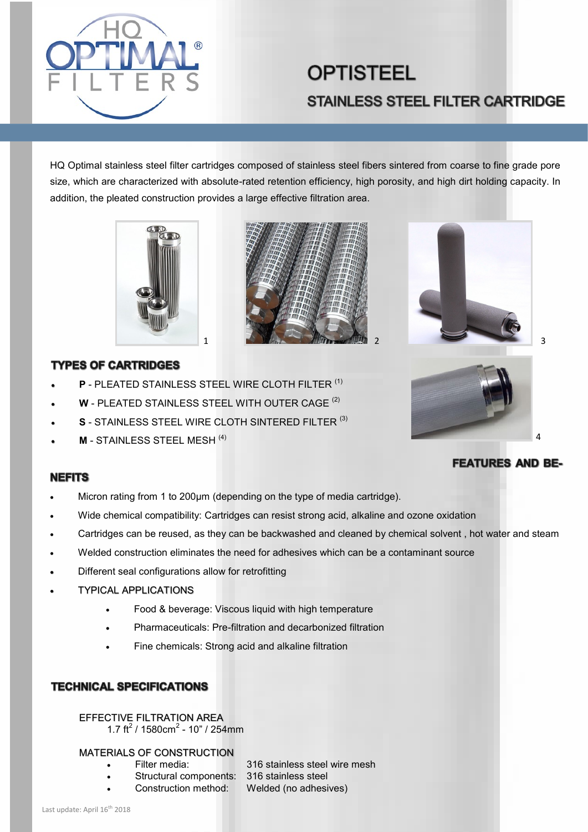

# **OPTISTEEL STAINLESS STEEL FILTER CARTRIDGE**

HQ Optimal stainless steel filter cartridges composed of stainless steel fibers sintered from coarse to fine grade pore size, which are characterized with absolute-rated retention efficiency, high porosity, and high dirt holding capacity. In addition, the pleated construction provides a large effective filtration area.







## **TYPES OF CARTRIDGES**

- **P** PLEATED STAINLESS STEEL WIRE CLOTH FILTER (1)
- **W** PLEATED STAINLESS STEEL WITH OUTER CAGE (2)
- **S** STAINLESS STEEL WIRE CLOTH SINTERED FILTER (3)
- **M** STAINLESS STEEL MESH (4)

#### **NEFITS**

- Micron rating from 1 to 200µm (depending on the type of media cartridge).
- Wide chemical compatibility: Cartridges can resist strong acid, alkaline and ozone oxidation
- Cartridges can be reused, as they can be backwashed and cleaned by chemical solvent , hot water and steam
- Welded construction eliminates the need for adhesives which can be a contaminant source
- Different seal configurations allow for retrofitting
- TYPICAL APPLICATIONS
	- Food & beverage: Viscous liquid with high temperature
	- Pharmaceuticals: Pre-filtration and decarbonized filtration
	- Fine chemicals: Strong acid and alkaline filtration

## **TECHNICAL SPECIFICATIONS**

# EFFECTIVE FILTRATION AREA

1.7 ft<sup>2</sup> /  $1580cm<sup>2</sup> - 10"$  /  $254mm$ 

#### MATERIALS OF CONSTRUCTION

- 
- Filter media: 316 stainless steel wire mesh • Structural components: 316 stainless steel
- Construction method: Welded (no adhesives)

# **FEATURES AND BE-**

 $\overline{A}$